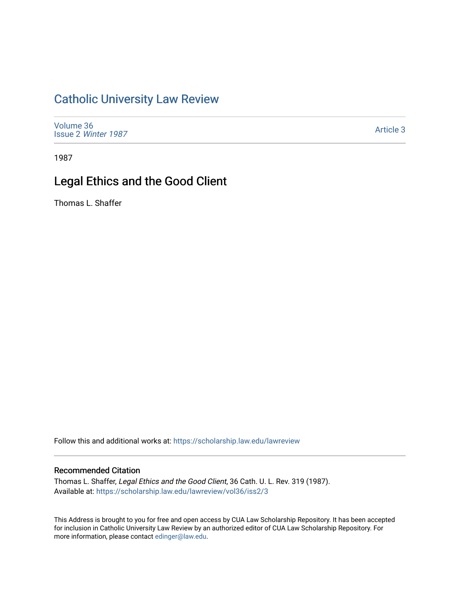# [Catholic University Law Review](https://scholarship.law.edu/lawreview)

[Volume 36](https://scholarship.law.edu/lawreview/vol36) Issue 2 [Winter 1987](https://scholarship.law.edu/lawreview/vol36/iss2) 

[Article 3](https://scholarship.law.edu/lawreview/vol36/iss2/3) 

1987

# Legal Ethics and the Good Client

Thomas L. Shaffer

Follow this and additional works at: [https://scholarship.law.edu/lawreview](https://scholarship.law.edu/lawreview?utm_source=scholarship.law.edu%2Flawreview%2Fvol36%2Fiss2%2F3&utm_medium=PDF&utm_campaign=PDFCoverPages)

## Recommended Citation

Thomas L. Shaffer, Legal Ethics and the Good Client, 36 Cath. U. L. Rev. 319 (1987). Available at: [https://scholarship.law.edu/lawreview/vol36/iss2/3](https://scholarship.law.edu/lawreview/vol36/iss2/3?utm_source=scholarship.law.edu%2Flawreview%2Fvol36%2Fiss2%2F3&utm_medium=PDF&utm_campaign=PDFCoverPages)

This Address is brought to you for free and open access by CUA Law Scholarship Repository. It has been accepted for inclusion in Catholic University Law Review by an authorized editor of CUA Law Scholarship Repository. For more information, please contact [edinger@law.edu.](mailto:edinger@law.edu)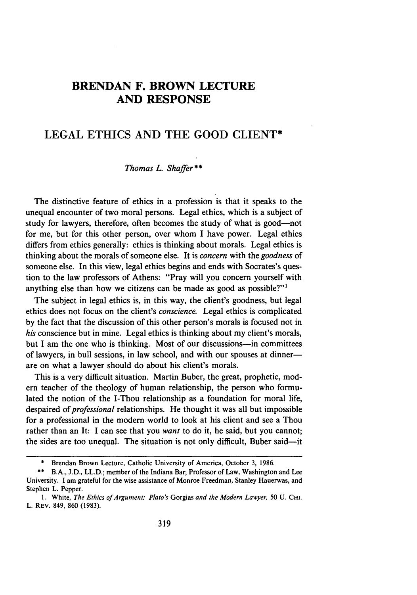## **BRENDAN F. BROWN LECTURE AND RESPONSE**

## **LEGAL ETHICS AND THE GOOD CLIENT\***

## *Thomas L. Shaffer\*\**

The distinctive feature of ethics in a profession is that it speaks to the unequal encounter of two moral persons. Legal ethics, which is a subject of study for lawyers, therefore, often becomes the study of what is good-not for me, but for this other person, over whom I have power. Legal ethics differs from ethics generally: ethics is thinking about morals. Legal ethics is thinking about the morals of someone else. It is *concern* with the *goodness* of someone else. In this view, legal ethics begins and ends with Socrates's question to the law professors of Athens: "Pray will you concern yourself with anything else than how we citizens can be made as good as possible?"'

The subject in legal ethics is, in this way, the client's goodness, but legal ethics does not focus on the client's *conscience.* Legal ethics is complicated by the fact that the discussion of this other person's morals is focused not in *his* conscience but in mine. Legal ethics is thinking about my client's morals, but I am the one who is thinking. Most of our discussions-in committees of lawyers, in bull sessions, in law school, and with our spouses at dinnerare on what a lawyer should do about his client's morals.

This is a very difficult situation. Martin Buber, the great, prophetic, modem teacher of the theology of human relationship, the person who formulated the notion of the I-Thou relationship as a foundation for moral life, despaired of *professional* relationships. He thought it was all but impossible for a professional in the modern world to look at his client and see a Thou rather than an It: I can see that you *want* to do it, he said, but you cannot; the sides are too unequal. The situation is not only difficult, Buber said-it

Brendan Brown Lecture, Catholic University of America, October 3, 1986.

<sup>\*\*</sup> B.A., J.D., LL.D.; member of the Indiana Bar; Professor of Law, Washington and Lee University. I am grateful for the wise assistance of Monroe Freedman, Stanley Hauerwas, and Stephen L. Pepper.

**<sup>1.</sup>** White, The Ethics of Argument: Plato's Gorgias and the Modern Lawyer, 50 U. **CHI.** L. REV. 849, 860 (1983).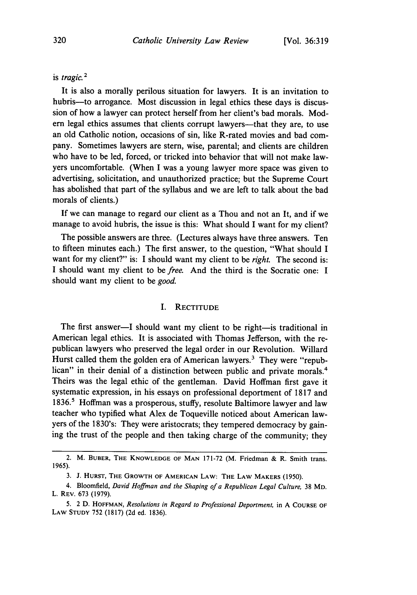## is *tragic. 2*

It is also a morally perilous situation for lawyers. It is an invitation to hubris--to arrogance. Most discussion in legal ethics these days is discussion of how a lawyer can protect herself from her client's bad morals. Modern legal ethics assumes that clients corrupt lawyers-that they are, to use an old Catholic notion, occasions of sin, like R-rated movies and bad company. Sometimes lawyers are stern, wise, parental; and clients are children who have to be led, forced, or tricked into behavior that will not make lawyers uncomfortable. (When I was a young lawyer more space was given to advertising, solicitation, and unauthorized practice; but the Supreme Court has abolished that part of the syllabus and we are left to talk about the bad morals of clients.)

If we can manage to regard our client as a Thou and not an It, and if we manage to avoid hubris, the issue is this: What should I want for my client?

The possible answers are three. (Lectures always have three answers. Ten to fifteen minutes each.) The first answer, to the question, "What should I want for my client?" is: I should want my client to be *right*. The second is: I should want my client to be *free.* And the third is the Socratic one: I should want my client to be *good.*

### I. RECTITUDE

The first answer-I should want my client to be right-is traditional in American legal ethics. It is associated with Thomas Jefferson, with the republican lawyers who preserved the legal order in our Revolution. Willard Hurst called them the golden era of American lawyers.<sup>3</sup> They were "republican" in their denial of a distinction between public and private morals.<sup>4</sup> Theirs was the legal ethic of the gentleman. David Hoffman first gave it systematic expression, in his essays on professional deportment of 1817 and 1836.' Hoffman was a prosperous, stuffy, resolute Baltimore lawyer and law teacher who typified what Alex de Toqueville noticed about American lawyers of the 1830's: They were aristocrats; they tempered democracy by gaining the trust of the people and then taking charge of the community; they

<sup>2.</sup> M. BUBER, THE **KNOWLEDGE** OF **MAN** 171-72 (M. Friedman & R. Smith trans. 1965).

**<sup>3.</sup> J. HURST, THE GROWTH** OF **AMERICAN** LAW: **THE** LAW MAKERS (1950).

<sup>4.</sup> Bloomfield, *David Hoffman and the Shaping of a Republican Legal Culture,* 38 MD. L. **REV.** 673 (1979).

**<sup>5.</sup>** 2 **D. HOFFMAN,** *Resolutions in Regard to Professional Deportment,* in A **COURSE** OF **LAW STUDY** 752 **(1817) (2d** ed. 1836).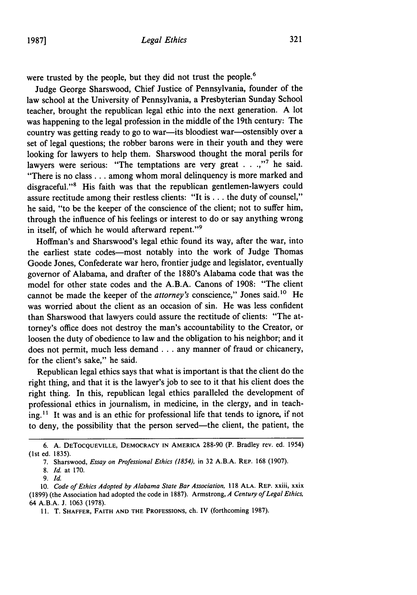were trusted by the people, but they did not trust the people.<sup>6</sup>

Judge George Sharswood, Chief Justice of Pennsylvania, founder of the law school at the University of Pennsylvania, a Presbyterian Sunday School teacher, brought the republican legal ethic into the next generation. A lot was happening to the legal profession in the middle of the 19th century: The country was getting ready to go to war—its bloodiest war—ostensibly over a set of legal questions; the robber barons were in their youth and they were looking for lawyers to help them. Sharswood thought the moral perils for lawyers were serious: "The temptations are very great . . .,"<sup>7</sup> he said. "There is no class **...** among whom moral delinquency is more marked and disgraceful."8 His faith was that the republican gentlemen-lawyers could assure rectitude among their restless clients: "It is ... the duty of counsel," he said, "to be the keeper of the conscience of the client; not to suffer him, through the influence of his feelings or interest to do or say anything wrong in itself, of which he would afterward repent."<sup>9</sup>

Hoffman's and Sharswood's legal ethic found its way, after the war, into the earliest state codes-most notably into the work of Judge Thomas Goode Jones, Confederate war hero, frontier judge and legislator, eventually governor of Alabama, and drafter of the 1880's Alabama code that was the model for other state codes and the A.B.A. Canons of 1908: "The client cannot be made the keeper of the *attorney's* conscience," Jones said."° He was worried about the client as an occasion of sin. He was less confident than Sharswood that lawyers could assure the rectitude of clients: "The attorney's office does not destroy the man's accountability to the Creator, or loosen the duty of obedience to law and the obligation to his neighbor; and it does not permit, much less demand **...** any manner of fraud or chicanery, for the client's sake," he said.

Republican legal ethics says that what is important is that the client do the right thing, and that it is the lawyer's job to see to it that his client does the right thing. In this, republican legal ethics paralleled the development of professional ethics in journalism, in medicine, in the clergy, and in teaching. **"** It was and is an ethic for professional life that tends to ignore, if not to deny, the possibility that the person served-the client, the patient, the

**<sup>6.</sup>** A. DETOCQUEVILLE, DEMOCRACY **IN** AMERICA 288-90 (P. Bradley rev. ed. 1954) (1st ed. 1835).

<sup>7.</sup> Sharswood, Essay *on Professional Ethics (1854),* in **32 A.B.A.** REP. 168 (1907).

<sup>8.</sup> *Id.* at 170.

<sup>9.</sup> *Id.*

<sup>10.</sup> *Code of Ethics Adopted by Alabama State Bar Association,* 118 **ALA.** REP. xxiii, xxix (1899) (the Association had adopted the code in 1887). Armstrong, *A Century of Legal Ethics,* 64 A.B.A. J. 1063 (1978).

**<sup>11.</sup>** T. SHAFFER, **FAITH AND** THE **PROFESSIONS,** ch. IV (forthcoming 1987).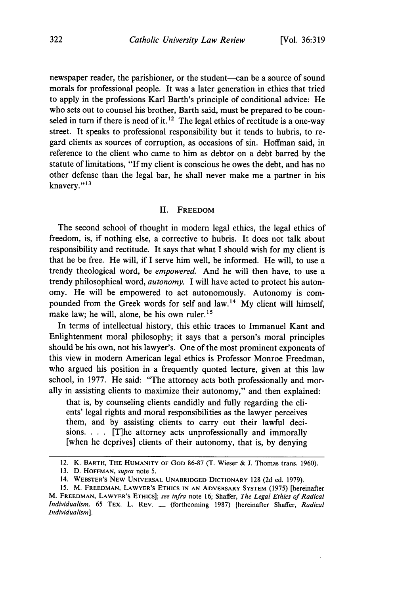newspaper reader, the parishioner, or the student--can be a source of sound morals for professional people. It was a later generation in ethics that tried to apply in the professions Karl Barth's principle of conditional advice: He who sets out to counsel his brother, Barth said, must be prepared to be counseled in turn if there is need of it.<sup>12</sup> The legal ethics of rectitude is a one-way street. It speaks to professional responsibility but it tends to hubris, to regard clients as sources of corruption, as occasions of sin. Hoffman said, in reference to the client who came to him as debtor on a debt barred by the statute of limitations, "If my client is conscious he owes the debt, and has no other defense than the legal bar, he shall never make me a partner in his knavery."<sup>13</sup>

#### II. FREEDOM

The second school of thought in modern legal ethics, the legal ethics of freedom, is, if nothing else, a corrective to hubris. It does not talk about responsibility and rectitude. It says that what I should wish for my client is that he be free. He will, if I serve him well, be informed. He will, to use a trendy theological word, be *empowered.* And he will then have, to use a trendy philosophical word, *autonomy.* I will have acted to protect his autonomy. He will be empowered to act autonomously. Autonomy is compounded from the Greek words for self and law.<sup>14</sup> My client will himself, make law; he will, alone, be his own ruler.<sup>15</sup>

In terms of intellectual history, this ethic traces to Immanuel Kant and Enlightenment moral philosophy; it says that a person's moral principles should be his own, not his lawyer's. One of the most prominent exponents of this view in modern American legal ethics is Professor Monroe Freedman, who argued his position in a frequently quoted lecture, given at this law school, in 1977. He said: "The attorney acts both professionally and morally in assisting clients to maximize their autonomy," and then explained:

that is, by counseling clients candidly and fully regarding the clients' legal rights and moral responsibilities as the lawyer perceives them, and by assisting clients to carry out their lawful decisions. . **.** . [T]he attorney acts unprofessionally and immorally [when he deprives] clients of their autonomy, that is, by denying

<sup>12.</sup> K. BARTH, THE **HUMANITY** OF **GOD** 86-87 (T. Wieser & J. Thomas trans. 1960).

<sup>13.</sup> **D. HOFFMAN,** *supra* note 5.

<sup>14.</sup> WEBSTER'S **NEW UNIVERSAL UNABRIDGED** DICTIONARY 128 (2d ed. 1979).

<sup>15.</sup> M. FREEDMAN, LAWYER'S **ETHICS IN AN** ADVERSARY SYSTEM (1975) [hereinafter M. FREEDMAN, LAWYER'S **ETHICS];** *see infra* note 16; Shaffer, *The Legal Ethics of Radical Individualism,* 65 TEX. L. REV. **-** (forthcoming 1987) [hereinafter Shaffer, *Radical Individualism].*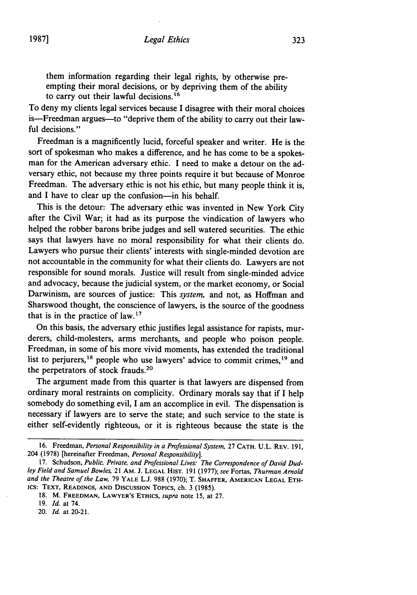them information regarding their legal rights, by otherwise preempting their moral decisions, or by depriving them of the ability to carry out their lawful decisions.<sup>16</sup>

To deny my clients legal services because I disagree with their moral choices is-Freedman argues-to "deprive them of the ability to carry out their lawful decisions."

Freedman is a magnificently lucid, forceful speaker and writer. He is the sort of spokesman who makes a difference, and he has come to be a spokesman for the American adversary ethic. I need to make a detour on the adversary ethic, not because my three points require it but because of Monroe Freedman. The adversary ethic is not his ethic, but many people think it is, and I have to clear up the confusion-in his behalf.

This is the detour: The adversary ethic was invented in New York City after the Civil War; it had as its purpose the vindication of lawyers who helped the robber barons bribe judges and sell watered securities. The ethic says that lawyers have no moral responsibility for what their clients do. Lawyers who pursue their clients' interests with single-minded devotion are not accountable in the community for what their clients do. Lawyers are not responsible for sound morals. Justice will result from single-minded advice and advocacy, because the judicial system, or the market economy, or Social Darwinism, are sources of justice: This *system,* and not, as Hoffman and Sharswood thought, the conscience of lawyers, is the source of the goodness that is in the practice of  $law.<sup>17</sup>$ 

On this basis, the adversary ethic justifies legal assistance for rapists, murderers, child-molesters, arms merchants, and people who poison people. Freedman, in some of his more vivid moments, has extended the traditional list to perjurers,<sup>18</sup> people who use lawyers' advice to commit crimes,<sup>19</sup> and the perpetrators of stock frauds.<sup>26</sup>

The argument made from this quarter is that lawyers are dispensed from ordinary moral restraints on complicity. Ordinary morals say that if I help somebody do something evil, I am an accomplice in evil. The dispensation is necessary if lawyers are to serve the state; and such service to the state is either self-evidently righteous, or it is righteous because the state is the

19. *Id.* at 74.

**<sup>16.</sup>** Freedman, *Personal Responsibility in a Professional System,* 27 **CATH.** U.L. REV. 19 **1,** 204 (1978) [hereinafter Freedman, *Personal Responsibility].*

<sup>17.</sup> Schudson, *Public, Private, and Professional Lives: The Correspondence of David Dudley Field and Samuel Bowles,* 21 AM. J. **LEGAL HIST.** 191 (1977); *see* Fortas, *Thurman Arnold and the Theatre of the Law,* 79 YALE L.J. 988 (1970); T. SHAFFER, **AMERICAN LEGAL** ETH-**ICS: TEXT, READINGS, AND DISCUSSION** Topics, ch. 3 (1985).

**<sup>18.</sup> M.** FREEDMAN, LAWYER'S **ETHICS,** *supra* note 15, at 27.

<sup>20.</sup> *Id.* at 20-21.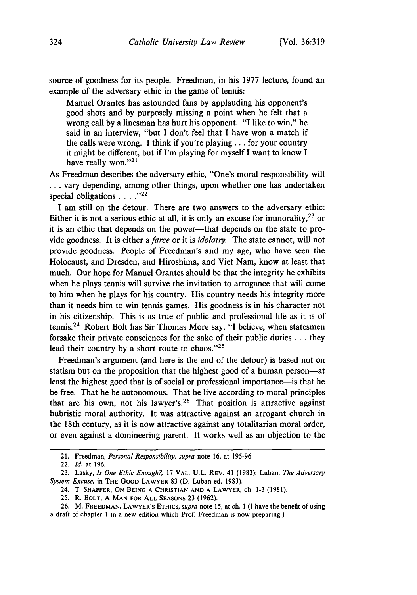source of goodness for its people. Freedman, in his 1977 lecture, found an example of the adversary ethic in the game of tennis:

Manuel Orantes has astounded fans by applauding his opponent's good shots and by purposely missing a point when he felt that a wrong call by a linesman has hurt his opponent. "I like to win," he said in an interview, "but I don't feel that I have won a match if the calls were wrong. I think if you're playing **...** for your country it might be different, but if I'm playing for myself I want to know I have really won."<sup>21</sup>

As Freedman describes the adversary ethic, "One's moral responsibility will **...** vary depending, among other things, upon whether one has undertaken special obligations  $\cdots$ <sup>22</sup>

I am still on the detour. There are two answers to the adversary ethic: Either it is not a serious ethic at all, it is only an excuse for immorality,  $2^3$  or it is an ethic that depends on the power—that depends on the state to provide goodness. It is either *a farce* or it is *idolatry.* The state cannot, will not provide goodness. People of Freedman's and my age, who have seen the Holocaust, and Dresden, and Hiroshima, and Viet Nam, know at least that much. Our hope for Manuel Orantes should be that the integrity he exhibits when he plays tennis will survive the invitation to arrogance that will come to him when he plays for his country. His country needs his integrity more than it needs him to win tennis games. His goodness is in his character not in his citizenship. This is as true of public and professional life as it is of tennis. 24 Robert Bolt has Sir Thomas More say, "I believe, when statesmen forsake their private consciences for the sake of their public duties **...** they lead their country by a short route to chaos. **"25**

Freedman's argument (and here is the end of the detour) is based not on statism but on the proposition that the highest good of a human person-at least the highest good that is of social or professional importance—is that he be free. That he be autonomous. That he live according to moral principles that are his own, not his lawyer's.<sup>26</sup> That position is attractive against hubristic moral authority. It was attractive against an arrogant church in the 18th century, as it is now attractive against any totalitarian moral order, or even against a domineering parent. It works well as an objection to the

<sup>21.</sup> Freedman, *Personal Responsibility, supra* note 16, at 195-96.

<sup>22.</sup> *Id.* at 196.

<sup>23.</sup> Lasky, *Is One Ethic Enough?,* 17 VAL. U.L. REV. 41 (1983); Luban, *The Adversary System Excuse,* in THE **GOOD LAWYER 83** (D. Luban ed. 1983).

<sup>24.</sup> T. SHAFFER, ON **BEING A CHRISTIAN AND A** LAWYER, ch. **1-3** (1981).

<sup>25.</sup> R. BOLT, **A MAN** FOR **ALL** SEASONS 23 (1962).

<sup>26.</sup> M. FREEDMAN, LAWYER'S **ETHICS,** *supra* note 15, at ch. **I** (I have the benefit of using a draft of chapter 1 in a new edition which Prof. Freedman is now preparing.)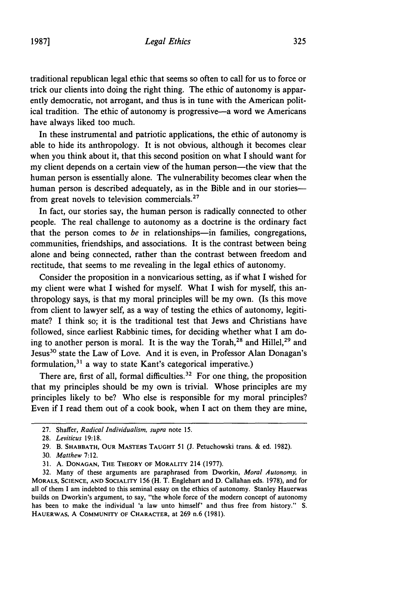traditional republican legal ethic that seems so often to call for us to force or trick our clients into doing the right thing. The ethic of autonomy is apparently democratic, not arrogant, and thus is in tune with the American political tradition. The ethic of autonomy is progressive-a word we Americans have always liked too much.

In these instrumental and patriotic applications, the ethic of autonomy is able to hide its anthropology. It is not obvious, although it becomes clear when you think about it, that this second position on what I should want for my client depends on a certain view of the human person—the view that the human person is essentially alone. The vulnerability becomes clear when the human person is described adequately, as in the Bible and in our storiesfrom great novels to television commercials.<sup>27</sup>

In fact, our stories say, the human person is radically connected to other people. The real challenge to autonomy as a doctrine is the ordinary fact that the person comes to *be* in relationships-in families, congregations, communities, friendships, and associations. It is the contrast between being alone and being connected, rather than the contrast between freedom and rectitude, that seems to me revealing in the legal ethics of autonomy.

Consider the proposition in a nonvicarious setting, as if what I wished for my client were what I wished for myself. What I wish for myself, this anthropology says, is that my moral principles will be my own. (Is this move from client to lawyer self, as a way of testing the ethics of autonomy, legitimate? I think so; it is the traditional test that Jews and Christians have followed, since earliest Rabbinic times, for deciding whether what I am doing to another person is moral. It is the way the Torah,<sup>28</sup> and Hillel,<sup>29</sup> and Jesus<sup>30</sup> state the Law of Love. And it is even, in Professor Alan Donagan's formulation, $31$  a way to state Kant's categorical imperative.)

There are, first of all, formal difficulties.<sup>32</sup> For one thing, the proposition that my principles should be my own is trivial. Whose principles are my principles likely to be? Who else is responsible for my moral principles? Even if I read them out of a cook book, when I act on them they are mine,

<sup>27.</sup> Shaffer, *Radical Individualism, supra* note 15.

<sup>28.</sup> *Leviticus* 19:18.

<sup>29.</sup> B. SHABBATH, OUR MASTERS **TAUGHT** 51 (J. Petuchowski trans. & ed. 1982).

<sup>30.</sup> *Matthew* 7:12.

<sup>31.</sup> A. **DONAGAN,** THE THEORY OF MORALITY 214 (1977).

<sup>32.</sup> Many of these arguments are paraphrased from Dworkin, *Moral Autonomy,* in MORALS, **SCIENCE, AND** SOCIALITY 156 (H. T. Englehart and D. Callahan eds. 1978), and for all of them I am indebted to this seminal essay on the ethics of autonomy. Stanley Hauerwas builds on Dworkin's argument, to say, "the whole force of the modern concept of autonomy has been to make the individual 'a law unto himself' and thus free from history." S. HAUERWAS, **A COMMUNITY** OF CHARACTER, at 269 n.6 (1981).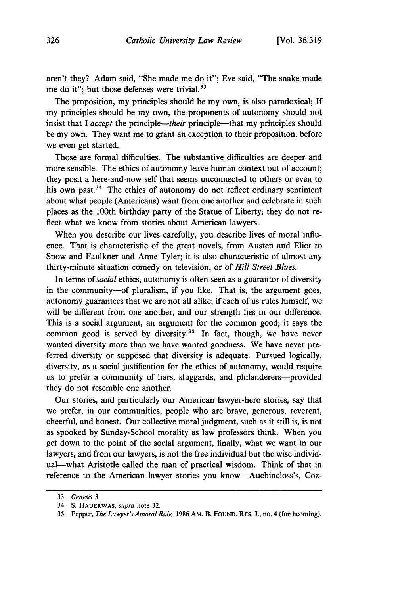aren't they? Adam said, "She made me do it"; Eve said, "The snake made me do it"; but those defenses were trivial.<sup>33</sup>

The proposition, my principles should be my own, is also paradoxical; If my principles should be my own, the proponents of autonomy should not insist that I *accept* the principle—their principle—that my principles should be my own. They want me to grant an exception to their proposition, before we even get started.

Those are formal difficulties. The substantive difficulties are deeper and more sensible. The ethics of autonomy leave human context out of account; they posit a here-and-now self that seems unconnected to others or even to his own past.<sup>34</sup> The ethics of autonomy do not reflect ordinary sentiment about what people (Americans) want from one another and celebrate in such places as the 100th birthday party of the Statue of Liberty; they do not reflect what we know from stories about American lawyers.

When you describe our lives carefully, you describe lives of moral influence. That is characteristic of the great novels, from Austen and Eliot to Snow and Faulkner and Anne Tyler; it is also characteristic of almost any thirty-minute situation comedy on television, or of *Hill Street Blues.*

In terms *of social* ethics, autonomy is often seen as a guarantor of diversity in the community-of pluralism, if you like. That is, the argument goes, autonomy guarantees that we are not all alike; if each of us rules himself, we will be different from one another, and our strength lies in our difference. This is a social argument, an argument for the common good; it says the common good is served by diversity.<sup>35</sup> In fact, though, we have never wanted diversity more than we have wanted goodness. We have never preferred diversity or supposed that diversity is adequate. Pursued logically, diversity, as a social justification for the ethics of autonomy, would require us to prefer a community of liars, sluggards, and philanderers---provided they do not resemble one another.

Our stories, and particularly our American lawyer-hero stories, say that we prefer, in our communities, people who are brave, generous, reverent, cheerful, and honest. Our collective moral judgment, such as it still is, is not as spooked by Sunday-School morality as law professors think. When you get down to the point of the social argument, finally, what we want in our lawyers, and from our lawyers, is not the free individual but the wise individual-what Aristotle called the man of practical wisdom. Think of that in reference to the American lawyer stories you know-Auchincloss's, Coz-

<sup>33.</sup> *Genesis 3.*

<sup>34.</sup> S. **HAUERWAS,** *supra* note 32.

<sup>35.</sup> Pepper, *The Lawyer's Amoral Role,* 1986 AM. B. FOUND. RES. J., no. 4 (forthcoming).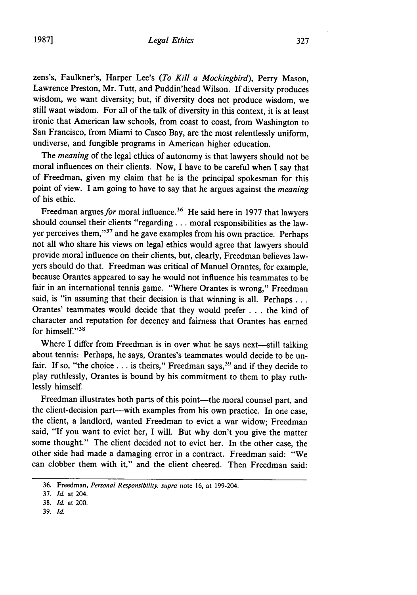#### *Legal Ethics*

zens's, Faulkner's, Harper Lee's *(To Kill a Mockingbird),* Perry Mason, Lawrence Preston, Mr. Tutt, and Puddin'head Wilson. If diversity produces wisdom, we want diversity; but, if diversity does not produce wisdom, we still want wisdom. For all of the talk of diversity in this context, it is at least ironic that American law schools, from coast to coast, from Washington to San Francisco, from Miami to Casco Bay, are the most relentlessly uniform, undiverse, and fungible programs in American higher education.

The *meaning* of the legal ethics of autonomy is that lawyers should not be moral influences on their clients. Now, I have to be careful when I say that of Freedman, given my claim that he is the principal spokesman for this point of view. I am going to have to say that he argues against the *meaning* of his ethic.

Freedman argues for moral influence.<sup>36</sup> He said here in 1977 that lawyers should counsel their clients "regarding ... moral responsibilities as the lawyer perceives them,"37 and he gave examples from his own practice. Perhaps not all who share his views on legal ethics would agree that lawyers should provide moral influence on their clients, but, clearly, Freedman believes lawyers should do that. Freedman was critical of Manuel Orantes, for example, because Orantes appeared to say he would not influence his teammates to be fair in an international tennis game. "Where Orantes is wrong," Freedman said, is "in assuming that their decision is that winning is all. Perhaps... Orantes' teammates would decide that they would prefer **. . .** the kind of character and reputation for decency and fairness that Orantes has earned for himself."38

Where I differ from Freedman is in over what he says next-still talking about tennis: Perhaps, he says, Orantes's teammates would decide to be unfair. If so, "the choice  $\dots$  is theirs," Freedman says,  $39$  and if they decide to play ruthlessly, Orantes is bound by his commitment to them to play ruthlessly himself.

Freedman illustrates both parts of this point—the moral counsel part, and the client-decision part-with examples from his own practice. In one case, the client, a landlord, wanted Freedman to evict a war widow; Freedman said, "If you want to evict her, I will. But why don't you give the matter some thought." The client decided not to evict her. In the other case, the other side had made a damaging error in a contract. Freedman said: "We can clobber them with it," and the client cheered. Then Freedman said:

<sup>36.</sup> Freedman, *Personal Responsibility, supra* note 16, at 199-204.

<sup>37.</sup> *Id.* at 204.

<sup>38.</sup> *Id.* at 200.

<sup>39.</sup> *Id.*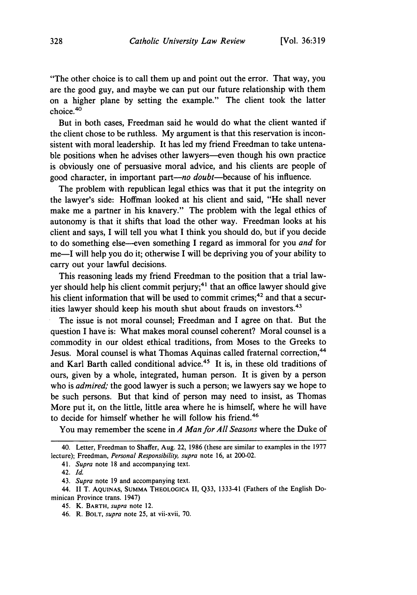"The other choice is to call them up and point out the error. That way, you are the good guy, and maybe we can put our future relationship with them on a higher plane by setting the example." The client took the latter choice.<sup>4</sup> '

But in both cases, Freedman said he would do what the client wanted if the client chose to be ruthless. My argument is that this reservation is inconsistent with moral leadership. It has led my friend Freedman to take untenable positions when he advises other lawyers-even though his own practice is obviously one of persuasive moral advice, and his clients are people of good character, in important part—*no doubt*—because of his influence.

The problem with republican legal ethics was that it put the integrity on the lawyer's side: Hoffman looked at his client and said, "He shall never make me a partner in his knavery." The problem with the legal ethics of autonomy is that it shifts that load the other way. Freedman looks at his client and says, I will tell you what I think you should do, but if you decide to do something else--even something I regard as immoral for you *and* for me-I will help you do it; otherwise I will be depriving you of your ability to carry out your lawful decisions.

This reasoning leads my friend Freedman to the position that a trial lawyer should help his client commit perjury;<sup>41</sup> that an office lawyer should give his client information that will be used to commit crimes;<sup>42</sup> and that a securities lawyer should keep his mouth shut about frauds on investors.<sup>43</sup>

The issue is not moral counsel; Freedman and I agree on that. But the question I have is: What makes moral counsel coherent? Moral counsel is a commodity in our oldest ethical traditions, from Moses to the Greeks to Jesus. Moral counsel is what Thomas Aquinas called fraternal correction, <sup>44</sup> and Karl Barth called conditional advice.<sup>45</sup> It is, in these old traditions of ours, given by a whole, integrated, human person. It is given by a person who is *admired;* the good lawyer is such a person; we lawyers say we hope to be such persons. But that kind of person may need to insist, as Thomas More put it, on the little, little area where he is himself, where he will have to decide for himself whether he will follow his friend.<sup>46</sup>

You may remember the scene in *A Man for A ll Seasons* where the Duke of

<sup>40.</sup> Letter, Freedman to Shaffer, Aug. 22, 1986 (these are similar to examples in the 1977 lecture); Freedman, *Personal Responsibility, supra* note 16, at 200-02.

<sup>41.</sup> *Supra* note 18 and accompanying text.

<sup>42.</sup> *Id.*

<sup>43.</sup> *Supra* note 19 and accompanying text.

<sup>44.</sup> II T. AQUINAS, **SUMMA THEOLOGICA** II, Q33, 1333-41 (Fathers of the English Dominican Province trans. 1947)

<sup>45.</sup> K. BARTH, *supra* note 12.

<sup>46.</sup> R. BOLT, *supra* note 25, at vii-xvii, 70.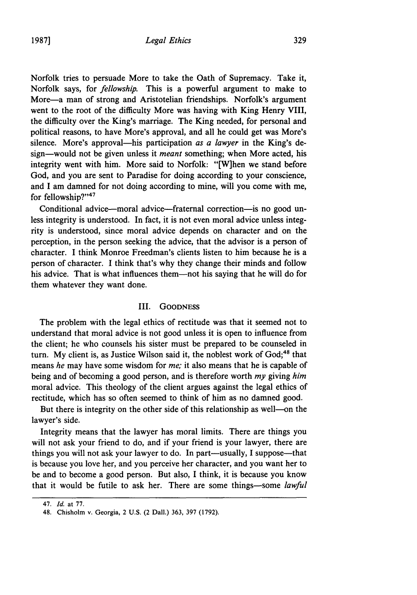#### *Legal Ethics*

Norfolk tries to persuade More to take the Oath of Supremacy. Take it, Norfolk says, for *fellowship.* This is a powerful argument to make to More-a man of strong and Aristotelian friendships. Norfolk's argument went to the root of the difficulty More was having with King Henry VIII, the difficulty over the King's marriage. The King needed, for personal and political reasons, to have More's approval, and all he could get was More's silence. More's approval—his participation *as a lawyer* in the King's design-would not be given unless it *meant* something; when More acted, his integrity went with him. More said to Norfolk: "[W]hen we stand before God, and you are sent to Paradise for doing according to your conscience, and I am damned for not doing according to mine, will you come with me, for fellowship?"<sup>47</sup>

Conditional advice-moral advice-fraternal correction- is no good unless integrity is understood. In fact, it is not even moral advice unless integrity is understood, since moral advice depends on character and on the perception, in the person seeking the advice, that the advisor is a person of character. I think Monroe Freedman's clients listen to him because he is a person of character. I think that's why they change their minds and follow his advice. That is what influences them-not his saying that he will do for them whatever they want done.

### III. GOODNESS

The problem with the legal ethics of rectitude was that it seemed not to understand that moral advice is not good unless it is open to influence from the client; he who counsels his sister must be prepared to be counseled in turn. My client is, as Justice Wilson said it, the noblest work of God;<sup>48</sup> that means *he* may have some wisdom for *me;* it also means that he is capable of being and of becoming a good person, and is therefore worth *my* giving *him* moral advice. This theology of the client argues against the legal ethics of rectitude, which has so often seemed to think of him as no damned good.

But there is integrity on the other side of this relationship as well—on the lawyer's side.

Integrity means that the lawyer has moral limits. There are things you will not ask your friend to do, and if your friend is your lawyer, there are things you will not ask your lawyer to do. In part-usually, I suppose-that is because you love her, and you perceive her character, and you want her to be and to become a good person. But also, I think, it is because you know that it would be futile to ask her. There are some things-some lawful

<sup>47.</sup> *Id.* at 77.

<sup>48.</sup> Chisholm v. Georgia, 2 U.S. (2 DalI.) 363, 397 (1792).